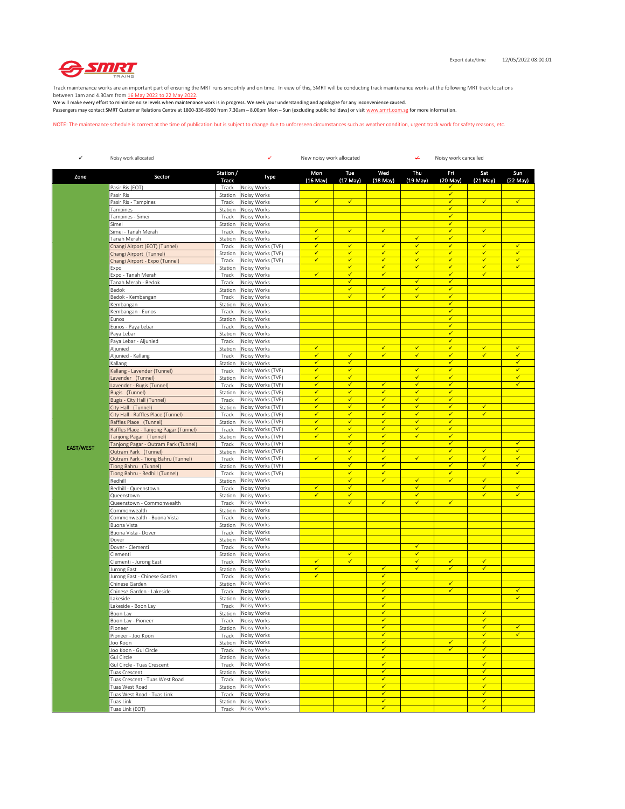

Track maintenance works are an important part of ensuring the MRT runs smoothly and on time. In view of this, SMRT will be conducting track maintenance works at the following MRT track locations

between 1am and 4.30am from <u>16 May 2022 to 22 May 2022</u>.<br>We will make every effort to minimize noise levels when maintenance work is in progress. We seek your understanding and apologize for any inconvenience caused. Passengers may contact SMRT Customer Relations Centre at 1800-336-8900 from 7.30am – 8.00pm Mon – Sun (excluding public holidays) or visit www.smrt.com.sg for more information.

NOTE: The maintenance schedule is correct at the time of publication but is subject to change due to unforeseen circumstances such as weather condition, urgent track work for safety reasons, etc.

| $\checkmark$     | Noisy work allocated                                           |                    | ✓<br>New noisy work allocated<br>¥     |                              |                              |                                         |                              | Noisy work cancelled         |                              |                              |  |
|------------------|----------------------------------------------------------------|--------------------|----------------------------------------|------------------------------|------------------------------|-----------------------------------------|------------------------------|------------------------------|------------------------------|------------------------------|--|
| Zone             | Sector                                                         | Station /<br>Track | Type                                   | Mon<br>$(16$ May $)$         | Tue<br>$(17$ May)            | Wed<br>$(18$ May)                       | Thu<br>$(19$ May)            | Fri<br>(20 May)              | Sat<br>$(21$ May $)$         | Sun<br>(22 May)              |  |
|                  | Pasir Ris (EOT)                                                | Track              | Noisy Works                            |                              |                              |                                         |                              |                              |                              |                              |  |
|                  | Pasir Ris                                                      | Station            | Noisy Works                            |                              |                              |                                         |                              | $\checkmark$                 |                              |                              |  |
|                  | Pasir Ris - Tampines                                           | Track              | Noisy Works                            | $\checkmark$                 | $\checkmark$                 |                                         |                              | ✓<br>$\checkmark$            | $\checkmark$                 | $\checkmark$                 |  |
|                  | Tampines<br>Tampines - Simei                                   | Station<br>Track   | Noisy Works<br>Noisy Works             |                              |                              |                                         |                              | ✓                            |                              |                              |  |
|                  | Simei                                                          | Station            | Noisy Works                            |                              |                              |                                         |                              | $\checkmark$                 |                              |                              |  |
|                  | Simei - Tanah Merah                                            | Track              | Noisy Works                            | $\checkmark$                 | $\checkmark$                 | $\checkmark$                            |                              | $\checkmark$                 | $\checkmark$                 |                              |  |
|                  | Tanah Merah                                                    | Station            | Noisy Works                            | $\checkmark$                 |                              |                                         | $\checkmark$                 | $\checkmark$                 |                              |                              |  |
|                  | Changi Airport (EOT) (Tunnel)                                  | Track              | Noisy Works (TVF)                      | $\checkmark$                 | $\checkmark$                 | $\checkmark$                            | $\checkmark$                 | $\checkmark$                 | $\checkmark$                 | $\checkmark$                 |  |
|                  | Changi Airport (Tunnel)                                        | Station<br>Track   | Noisy Works (TVF)<br>Noisy Works (TVF) | ✓<br>✓                       | $\checkmark$<br>$\checkmark$ | ✓<br>✔                                  | ✓<br>$\checkmark$            | ✓<br>√                       | $\checkmark$<br>✓            | $\checkmark$<br>✓            |  |
|                  | Changi Airport - Expo (Tunnel)<br>Expo                         | Station            | Noisy Works                            |                              | $\checkmark$                 | $\checkmark$                            | $\checkmark$                 | $\checkmark$                 | $\checkmark$                 | $\checkmark$                 |  |
|                  | Expo - Tanah Merah                                             | Track              | Noisy Works                            | $\checkmark$                 | ✓                            | $\checkmark$                            |                              | $\checkmark$                 | $\checkmark$                 |                              |  |
|                  | Tanah Merah - Bedok                                            | Track              | Noisy Works                            |                              | $\checkmark$                 |                                         | $\checkmark$                 | $\checkmark$                 |                              |                              |  |
|                  | Bedok                                                          | Station            | Noisy Works                            |                              | $\checkmark$                 | ✓                                       | $\checkmark$                 | $\checkmark$                 |                              |                              |  |
|                  | Bedok - Kembangan                                              | Track              | Noisy Works                            |                              | $\checkmark$                 | ✓                                       | ✓                            | √                            |                              |                              |  |
|                  | Kembangan                                                      | Station            | Noisy Works                            |                              |                              |                                         |                              | $\checkmark$<br>$\checkmark$ |                              |                              |  |
|                  | Kembangan - Eunos                                              | Track<br>Station   | Noisy Works<br>Noisy Works             |                              |                              |                                         |                              | $\checkmark$                 |                              |                              |  |
|                  | Eunos<br>Eunos - Paya Lebar                                    | Track              | Noisy Works                            |                              |                              |                                         |                              | $\checkmark$                 |                              |                              |  |
|                  | Paya Lebar                                                     | Station            | Noisy Works                            |                              |                              |                                         |                              | $\checkmark$                 |                              |                              |  |
|                  | Paya Lebar - Aljunied                                          | Track              | Noisy Works                            |                              |                              |                                         |                              | $\checkmark$                 |                              |                              |  |
|                  | Aljunied                                                       | Station            | Noisy Works                            | $\checkmark$                 |                              | $\checkmark$                            | $\checkmark$                 | $\checkmark$                 | $\checkmark$                 | $\checkmark$                 |  |
|                  | Aljunied - Kallang                                             | Track              | Noisy Works                            | $\checkmark$                 | $\checkmark$                 | $\checkmark$                            | $\checkmark$                 | $\checkmark$                 | $\checkmark$                 | $\checkmark$                 |  |
|                  | Kallang                                                        | Station            | Noisy Works                            | ✓                            | $\checkmark$                 |                                         |                              | $\checkmark$                 |                              | $\overline{\checkmark}$      |  |
|                  | Kallang - Lavender (Tunnel)                                    | Track              | Noisy Works (TVF)                      | $\checkmark$<br>$\checkmark$ | $\checkmark$<br>$\checkmark$ |                                         | $\checkmark$<br>$\checkmark$ | $\checkmark$<br>$\checkmark$ |                              | $\checkmark$<br>$\checkmark$ |  |
|                  | avender (Tunnel)<br>Lavender - Bugis (Tunnel)                  | Station<br>Track   | Noisy Works (TVF)<br>Noisy Works (TVF) | $\checkmark$                 | $\checkmark$                 | $\checkmark$                            | $\checkmark$                 | $\checkmark$                 |                              | $\checkmark$                 |  |
|                  | Bugis (Tunnel)                                                 | Station            | Noisy Works (TVF)                      | $\checkmark$                 | $\checkmark$                 | $\checkmark$                            | $\checkmark$                 | $\checkmark$                 |                              |                              |  |
|                  | Bugis - City Hall (Tunnel)                                     | Track              | Noisy Works (TVF)                      | $\overline{\checkmark}$      | $\checkmark$                 | ✓                                       | $\checkmark$                 | $\checkmark$                 |                              |                              |  |
|                  | City Hall (Tunnel)                                             | Station            | Noisy Works (TVF)                      | ✓                            | ✓                            | ✓                                       | $\checkmark$                 | $\checkmark$                 | $\checkmark$                 |                              |  |
|                  | City Hall - Raffles Place (Tunnel)                             | Track              | Noisy Works (TVF)                      | $\checkmark$                 | $\checkmark$                 | $\checkmark$                            | $\checkmark$                 | $\checkmark$                 | $\checkmark$                 |                              |  |
|                  | Raffles Place (Tunnel)                                         | Station            | Noisy Works (TVF)                      | $\checkmark$                 | $\checkmark$                 | $\checkmark$                            | $\checkmark$                 | $\checkmark$                 |                              |                              |  |
|                  | Raffles Place - Tanjong Pagar (Tunnel)                         | Track              | Noisy Works (TVF)                      | $\checkmark$<br>✓            | $\checkmark$<br>$\checkmark$ | $\checkmark$<br>✓                       | $\checkmark$<br>$\checkmark$ | $\checkmark$<br>$\checkmark$ |                              |                              |  |
|                  | Tanjong Pagar (Tunnel)<br>Tanjong Pagar - Outram Park (Tunnel) | Station<br>Track   | Noisy Works (TVF)<br>Noisy Works (TVF) |                              | $\checkmark$                 | $\checkmark$                            |                              | $\checkmark$                 |                              | √                            |  |
| <b>EAST/WEST</b> | Outram Park (Tunnel)                                           | Station            | Noisy Works (TVF)                      |                              | $\overline{\checkmark}$      | $\overline{\checkmark}$                 |                              | $\checkmark$                 | $\checkmark$                 | $\checkmark$                 |  |
|                  | Outram Park - Tiong Bahru (Tunnel)                             | Track              | Noisy Works (TVF)                      | $\checkmark$                 | ✓                            | $\checkmark$                            | $\checkmark$                 | ✓                            | $\checkmark$                 | $\checkmark$                 |  |
|                  | Tiong Bahru (Tunnel)                                           | Station            | Noisy Works (TVF)                      |                              | $\checkmark$                 | $\checkmark$                            |                              | $\checkmark$                 | $\checkmark$                 | $\checkmark$                 |  |
|                  | Tiong Bahru - Redhill (Tunnel)                                 | Track              | Noisy Works (TVF)                      |                              | $\checkmark$                 | ✓                                       |                              | $\checkmark$                 |                              | ✓                            |  |
|                  | Redhill                                                        | Station            | Noisy Works                            |                              | $\checkmark$                 | ✓                                       | ✓                            | $\checkmark$                 | $\checkmark$                 |                              |  |
|                  | Redhill - Queenstown                                           | Track              | Noisy Works                            | $\checkmark$<br>$\checkmark$ | $\checkmark$<br>✓            |                                         | $\checkmark$<br>$\checkmark$ |                              | $\checkmark$<br>$\checkmark$ | $\checkmark$<br>$\checkmark$ |  |
|                  | Queenstown<br>Queenstown - Commonwealth                        | Station<br>Track   | Noisy Works<br>Noisy Works             |                              | $\checkmark$                 | $\checkmark$                            | $\checkmark$                 | $\checkmark$                 |                              |                              |  |
|                  | Commonwealth                                                   | Station            | Noisy Works                            |                              |                              |                                         |                              |                              |                              |                              |  |
|                  | Commonwealth - Buona Vista                                     | Track              | Noisy Works                            |                              |                              |                                         |                              |                              |                              |                              |  |
|                  | Buona Vista                                                    | Station            | Noisy Works                            |                              |                              |                                         |                              |                              |                              |                              |  |
|                  | Buona Vista - Dover                                            | Track              | Noisy Works                            |                              |                              |                                         |                              |                              |                              |                              |  |
|                  | Dover                                                          | Station            | Noisy Works                            |                              |                              |                                         |                              |                              |                              |                              |  |
|                  | Dover - Clementi<br>Clementi                                   | Track<br>Station   | Noisy Works<br>Noisy Works             |                              | $\checkmark$                 |                                         | $\checkmark$<br>√            |                              |                              |                              |  |
|                  | Clementi - Jurong East                                         | Track              | Noisy Works                            | $\checkmark$                 | $\checkmark$                 |                                         | $\checkmark$                 | $\checkmark$                 | $\checkmark$                 |                              |  |
|                  | Jurong East                                                    | Station            | Noisy Works                            | $\checkmark$                 |                              | $\checkmark$                            | $\checkmark$                 | $\checkmark$                 | $\checkmark$                 |                              |  |
|                  | Jurong East - Chinese Garden                                   | Track              | Noisy Works                            | $\checkmark$                 |                              | $\checkmark$                            |                              |                              |                              |                              |  |
|                  | Chinese Garden                                                 | Station            | Noisy Works                            |                              |                              | ✓                                       |                              | $\checkmark$                 |                              |                              |  |
|                  | Chinese Garden - Lakeside                                      | Track              | Noisy Works                            |                              |                              | $\checkmark$                            |                              | $\checkmark$                 |                              | $\checkmark$                 |  |
|                  | akeside                                                        | Station            | Noisy Works                            |                              |                              | $\overline{\checkmark}$<br>$\checkmark$ |                              |                              |                              | $\checkmark$                 |  |
|                  | Lakeside - Boon Lay                                            | Track              | Noisy Works<br>Noisy Works             |                              |                              | ✓                                       |                              |                              | ✓                            |                              |  |
|                  | Boon Lay<br>Boon Lay - Pioneer                                 | Station<br>Track   | Noisy Works                            |                              |                              | ✓                                       |                              |                              | $\checkmark$                 |                              |  |
|                  | Pioneer                                                        | Station            | Noisy Works                            |                              |                              | $\checkmark$                            |                              |                              | $\checkmark$                 | ✓                            |  |
|                  | Pioneer - Joo Koon                                             | Track              | Noisy Works                            |                              |                              | $\overline{\checkmark}$                 |                              |                              | $\checkmark$                 | $\checkmark$                 |  |
|                  | Joo Koon                                                       |                    | Station Noisy Works                    |                              |                              | $\checkmark$                            |                              | $\checkmark$                 | $\checkmark$                 |                              |  |
|                  | Joo Koon - Gul Circle                                          | Track              | Noisy Works                            |                              |                              | $\checkmark$                            |                              | $\checkmark$                 | $\checkmark$                 |                              |  |
|                  | Gul Circle                                                     | Station            | Noisy Works                            |                              |                              | ✓<br>✓                                  |                              |                              | $\checkmark$<br>$\checkmark$ |                              |  |
|                  | Gul Circle - Tuas Crescent                                     | Track              | Noisy Works<br>Noisy Works             |                              |                              | $\overline{\checkmark}$                 |                              |                              | $\checkmark$                 |                              |  |
|                  | Tuas Crescent<br>Tuas Crescent - Tuas West Road                | Station<br>Track   | Noisy Works                            |                              |                              | $\checkmark$                            |                              |                              | $\checkmark$                 |                              |  |
|                  | Tuas West Road                                                 | Station            | Noisy Works                            |                              |                              | $\checkmark$                            |                              |                              | $\checkmark$                 |                              |  |
|                  | Tuas West Road - Tuas Link                                     | Track              | Noisy Works                            |                              |                              | ✓                                       |                              |                              | $\checkmark$                 |                              |  |
|                  | Tuas Link                                                      | Station            | Noisy Works                            |                              |                              | $\checkmark$                            |                              |                              | $\checkmark$                 |                              |  |
|                  | Tuas Link (EOT)                                                | Track              | Noisy Works                            |                              |                              | $\checkmark$                            |                              |                              | $\checkmark$                 |                              |  |